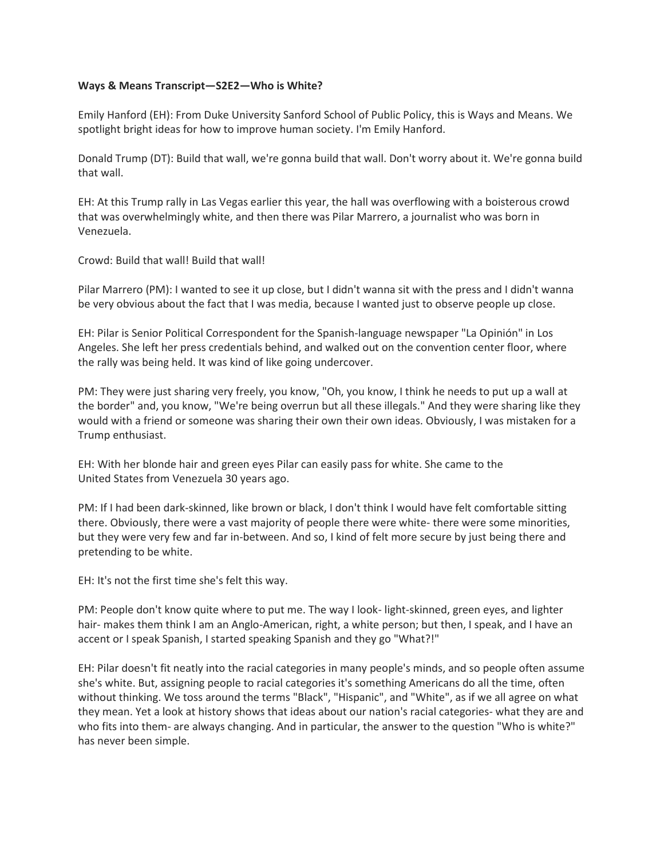## **Ways & Means Transcript—S2E2—Who is White?**

Emily Hanford (EH): From Duke University Sanford School of Public Policy, this is Ways and Means. We spotlight bright ideas for how to improve human society. I'm Emily Hanford.

Donald Trump (DT): Build that wall, we're gonna build that wall. Don't worry about it. We're gonna build that wall.

EH: At this Trump rally in Las Vegas earlier this year, the hall was overflowing with a boisterous crowd that was overwhelmingly white, and then there was Pilar Marrero, a journalist who was born in Venezuela.

Crowd: Build that wall! Build that wall!

Pilar Marrero (PM): I wanted to see it up close, but I didn't wanna sit with the press and I didn't wanna be very obvious about the fact that I was media, because I wanted just to observe people up close.

EH: Pilar is Senior Political Correspondent for the Spanish-language newspaper "La Opinión" in Los Angeles. She left her press credentials behind, and walked out on the convention center floor, where the rally was being held. It was kind of like going undercover.

PM: They were just sharing very freely, you know, "Oh, you know, I think he needs to put up a wall at the border" and, you know, "We're being overrun but all these illegals." And they were sharing like they would with a friend or someone was sharing their own their own ideas. Obviously, I was mistaken for a Trump enthusiast.

EH: With her blonde hair and green eyes Pilar can easily pass for white. She came to the United States from Venezuela 30 years ago.

PM: If I had been dark-skinned, like brown or black, I don't think I would have felt comfortable sitting there. Obviously, there were a vast majority of people there were white- there were some minorities, but they were very few and far in-between. And so, I kind of felt more secure by just being there and pretending to be white.

EH: It's not the first time she's felt this way.

PM: People don't know quite where to put me. The way I look- light-skinned, green eyes, and lighter hair- makes them think I am an Anglo-American, right, a white person; but then, I speak, and I have an accent or I speak Spanish, I started speaking Spanish and they go "What?!"

EH: Pilar doesn't fit neatly into the racial categories in many people's minds, and so people often assume she's white. But, assigning people to racial categories it's something Americans do all the time, often without thinking. We toss around the terms "Black", "Hispanic", and "White", as if we all agree on what they mean. Yet a look at history shows that ideas about our nation's racial categories- what they are and who fits into them- are always changing. And in particular, the answer to the question "Who is white?" has never been simple.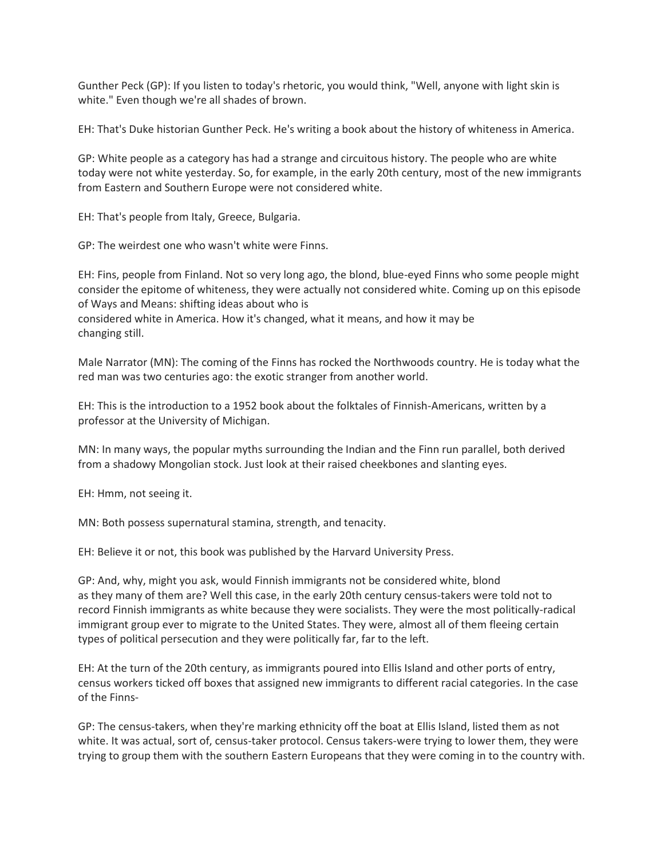Gunther Peck (GP): If you listen to today's rhetoric, you would think, "Well, anyone with light skin is white." Even though we're all shades of brown.

EH: That's Duke historian Gunther Peck. He's writing a book about the history of whiteness in America.

GP: White people as a category has had a strange and circuitous history. The people who are white today were not white yesterday. So, for example, in the early 20th century, most of the new immigrants from Eastern and Southern Europe were not considered white.

EH: That's people from Italy, Greece, Bulgaria.

GP: The weirdest one who wasn't white were Finns.

EH: Fins, people from Finland. Not so very long ago, the blond, blue-eyed Finns who some people might consider the epitome of whiteness, they were actually not considered white. Coming up on this episode of Ways and Means: shifting ideas about who is considered white in America. How it's changed, what it means, and how it may be changing still.

Male Narrator (MN): The coming of the Finns has rocked the Northwoods country. He is today what the red man was two centuries ago: the exotic stranger from another world.

EH: This is the introduction to a 1952 book about the folktales of Finnish-Americans, written by a professor at the University of Michigan.

MN: In many ways, the popular myths surrounding the Indian and the Finn run parallel, both derived from a shadowy Mongolian stock. Just look at their raised cheekbones and slanting eyes.

EH: Hmm, not seeing it.

MN: Both possess supernatural stamina, strength, and tenacity.

EH: Believe it or not, this book was published by the Harvard University Press.

GP: And, why, might you ask, would Finnish immigrants not be considered white, blond as they many of them are? Well this case, in the early 20th century census-takers were told not to record Finnish immigrants as white because they were socialists. They were the most politically-radical immigrant group ever to migrate to the United States. They were, almost all of them fleeing certain types of political persecution and they were politically far, far to the left.

EH: At the turn of the 20th century, as immigrants poured into Ellis Island and other ports of entry, census workers ticked off boxes that assigned new immigrants to different racial categories. In the case of the Finns-

GP: The census-takers, when they're marking ethnicity off the boat at Ellis Island, listed them as not white. It was actual, sort of, census-taker protocol. Census takers-were trying to lower them, they were trying to group them with the southern Eastern Europeans that they were coming in to the country with.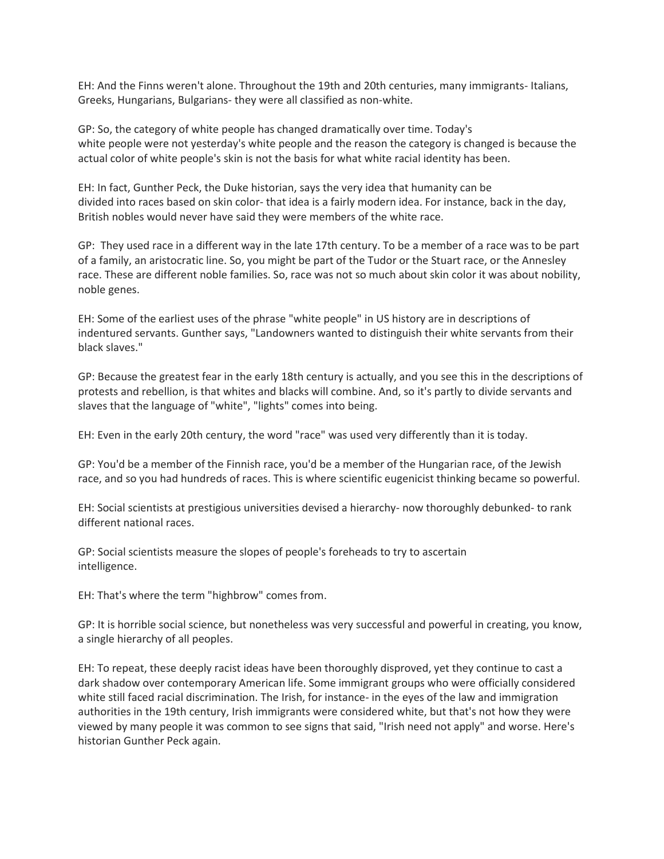EH: And the Finns weren't alone. Throughout the 19th and 20th centuries, many immigrants- Italians, Greeks, Hungarians, Bulgarians- they were all classified as non-white.

GP: So, the category of white people has changed dramatically over time. Today's white people were not yesterday's white people and the reason the category is changed is because the actual color of white people's skin is not the basis for what white racial identity has been.

EH: In fact, Gunther Peck, the Duke historian, says the very idea that humanity can be divided into races based on skin color- that idea is a fairly modern idea. For instance, back in the day, British nobles would never have said they were members of the white race.

GP: They used race in a different way in the late 17th century. To be a member of a race was to be part of a family, an aristocratic line. So, you might be part of the Tudor or the Stuart race, or the Annesley race. These are different noble families. So, race was not so much about skin color it was about nobility, noble genes.

EH: Some of the earliest uses of the phrase "white people" in US history are in descriptions of indentured servants. Gunther says, "Landowners wanted to distinguish their white servants from their black slaves."

GP: Because the greatest fear in the early 18th century is actually, and you see this in the descriptions of protests and rebellion, is that whites and blacks will combine. And, so it's partly to divide servants and slaves that the language of "white", "lights" comes into being.

EH: Even in the early 20th century, the word "race" was used very differently than it is today.

GP: You'd be a member of the Finnish race, you'd be a member of the Hungarian race, of the Jewish race, and so you had hundreds of races. This is where scientific eugenicist thinking became so powerful.

EH: Social scientists at prestigious universities devised a hierarchy- now thoroughly debunked- to rank different national races.

GP: Social scientists measure the slopes of people's foreheads to try to ascertain intelligence.

EH: That's where the term "highbrow" comes from.

GP: It is horrible social science, but nonetheless was very successful and powerful in creating, you know, a single hierarchy of all peoples.

EH: To repeat, these deeply racist ideas have been thoroughly disproved, yet they continue to cast a dark shadow over contemporary American life. Some immigrant groups who were officially considered white still faced racial discrimination. The Irish, for instance- in the eyes of the law and immigration authorities in the 19th century, Irish immigrants were considered white, but that's not how they were viewed by many people it was common to see signs that said, "Irish need not apply" and worse. Here's historian Gunther Peck again.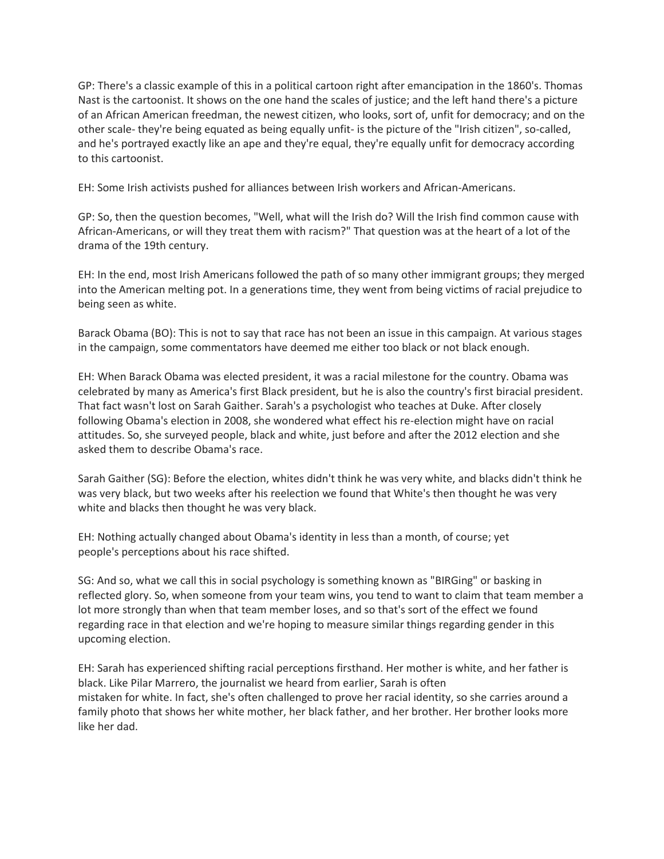GP: There's a classic example of this in a political cartoon right after emancipation in the 1860's. Thomas Nast is the cartoonist. It shows on the one hand the scales of justice; and the left hand there's a picture of an African American freedman, the newest citizen, who looks, sort of, unfit for democracy; and on the other scale- they're being equated as being equally unfit- is the picture of the "Irish citizen", so-called, and he's portrayed exactly like an ape and they're equal, they're equally unfit for democracy according to this cartoonist.

EH: Some Irish activists pushed for alliances between Irish workers and African-Americans.

GP: So, then the question becomes, "Well, what will the Irish do? Will the Irish find common cause with African-Americans, or will they treat them with racism?" That question was at the heart of a lot of the drama of the 19th century.

EH: In the end, most Irish Americans followed the path of so many other immigrant groups; they merged into the American melting pot. In a generations time, they went from being victims of racial prejudice to being seen as white.

Barack Obama (BO): This is not to say that race has not been an issue in this campaign. At various stages in the campaign, some commentators have deemed me either too black or not black enough.

EH: When Barack Obama was elected president, it was a racial milestone for the country. Obama was celebrated by many as America's first Black president, but he is also the country's first biracial president. That fact wasn't lost on Sarah Gaither. Sarah's a psychologist who teaches at Duke. After closely following Obama's election in 2008, she wondered what effect his re-election might have on racial attitudes. So, she surveyed people, black and white, just before and after the 2012 election and she asked them to describe Obama's race.

Sarah Gaither (SG): Before the election, whites didn't think he was very white, and blacks didn't think he was very black, but two weeks after his reelection we found that White's then thought he was very white and blacks then thought he was very black.

EH: Nothing actually changed about Obama's identity in less than a month, of course; yet people's perceptions about his race shifted.

SG: And so, what we call this in social psychology is something known as "BIRGing" or basking in reflected glory. So, when someone from your team wins, you tend to want to claim that team member a lot more strongly than when that team member loses, and so that's sort of the effect we found regarding race in that election and we're hoping to measure similar things regarding gender in this upcoming election.

EH: Sarah has experienced shifting racial perceptions firsthand. Her mother is white, and her father is black. Like Pilar Marrero, the journalist we heard from earlier, Sarah is often mistaken for white. In fact, she's often challenged to prove her racial identity, so she carries around a family photo that shows her white mother, her black father, and her brother. Her brother looks more like her dad.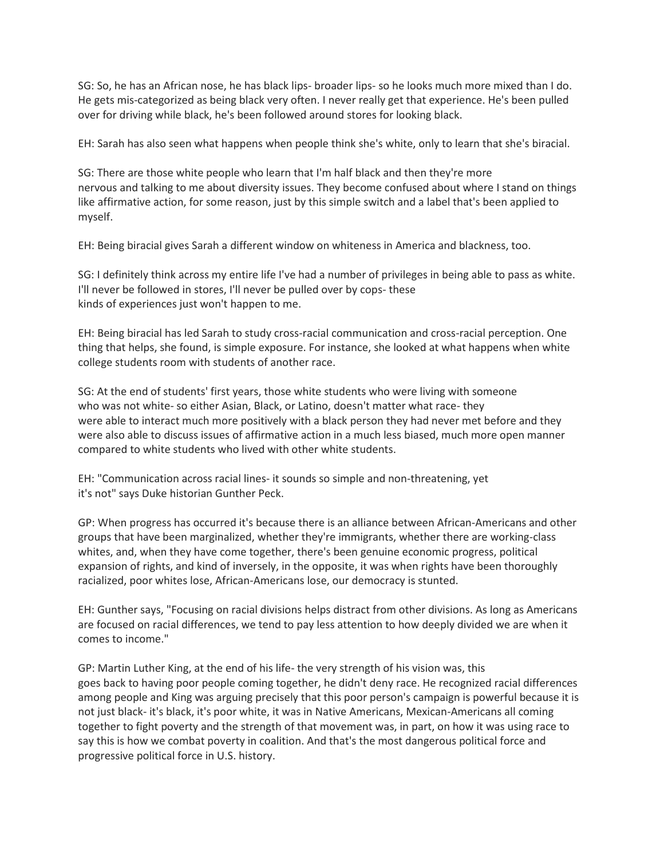SG: So, he has an African nose, he has black lips- broader lips- so he looks much more mixed than I do. He gets mis-categorized as being black very often. I never really get that experience. He's been pulled over for driving while black, he's been followed around stores for looking black.

EH: Sarah has also seen what happens when people think she's white, only to learn that she's biracial.

SG: There are those white people who learn that I'm half black and then they're more nervous and talking to me about diversity issues. They become confused about where I stand on things like affirmative action, for some reason, just by this simple switch and a label that's been applied to myself.

EH: Being biracial gives Sarah a different window on whiteness in America and blackness, too.

SG: I definitely think across my entire life I've had a number of privileges in being able to pass as white. I'll never be followed in stores, I'll never be pulled over by cops- these kinds of experiences just won't happen to me.

EH: Being biracial has led Sarah to study cross-racial communication and cross-racial perception. One thing that helps, she found, is simple exposure. For instance, she looked at what happens when white college students room with students of another race.

SG: At the end of students' first years, those white students who were living with someone who was not white- so either Asian, Black, or Latino, doesn't matter what race- they were able to interact much more positively with a black person they had never met before and they were also able to discuss issues of affirmative action in a much less biased, much more open manner compared to white students who lived with other white students.

EH: "Communication across racial lines- it sounds so simple and non-threatening, yet it's not" says Duke historian Gunther Peck.

GP: When progress has occurred it's because there is an alliance between African-Americans and other groups that have been marginalized, whether they're immigrants, whether there are working-class whites, and, when they have come together, there's been genuine economic progress, political expansion of rights, and kind of inversely, in the opposite, it was when rights have been thoroughly racialized, poor whites lose, African-Americans lose, our democracy is stunted.

EH: Gunther says, "Focusing on racial divisions helps distract from other divisions. As long as Americans are focused on racial differences, we tend to pay less attention to how deeply divided we are when it comes to income."

GP: Martin Luther King, at the end of his life- the very strength of his vision was, this goes back to having poor people coming together, he didn't deny race. He recognized racial differences among people and King was arguing precisely that this poor person's campaign is powerful because it is not just black- it's black, it's poor white, it was in Native Americans, Mexican-Americans all coming together to fight poverty and the strength of that movement was, in part, on how it was using race to say this is how we combat poverty in coalition. And that's the most dangerous political force and progressive political force in U.S. history.